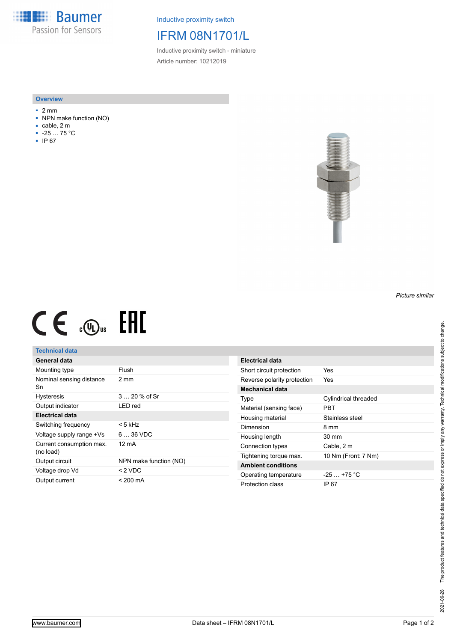**Baumer** Passion for Sensors

Inductive proximity switch

## IFRM 08N1701/L

Inductive proximity switch - miniature Article number: 10212019

#### **Overview**

- 2 mm
- NPN make function (NO)
- cable, 2 m
- -25 … 75 °C
- IP 67



# $CE \text{ and } CH$

### **Technical data**

| General data                          |                        |
|---------------------------------------|------------------------|
| Mounting type                         | Flush                  |
| Nominal sensing distance<br>Sn        | 2 mm                   |
| <b>Hysteresis</b>                     | $3 \dots 20 \%$ of Sr  |
| Output indicator                      | I FD red               |
| Electrical data                       |                        |
| Switching frequency                   | < 5 kHz                |
| Voltage supply range +Vs              | $636$ VDC              |
| Current consumption max.<br>(no load) | 12 mA                  |
| Output circuit                        | NPN make function (NO) |
| Voltage drop Vd                       | $< 2$ VDC              |
| Output current                        | < 200 mA               |

| <b>Electrical data</b>      |                             |
|-----------------------------|-----------------------------|
| Short circuit protection    | Yes                         |
| Reverse polarity protection | Yes                         |
| Mechanical data             |                             |
| Type                        | <b>Cylindrical threaded</b> |
| Material (sensing face)     | PRT                         |
| Housing material            | Stainless steel             |
| Dimension                   | 8 mm                        |
| Housing length              | 30 mm                       |
| Connection types            | Cable, 2 m                  |
| Tightening torque max.      | 10 Nm (Front: 7 Nm)         |
| <b>Ambient conditions</b>   |                             |
| Operating temperature       | $-25$ $+75$ °C              |
| Protection class            | IP 67                       |